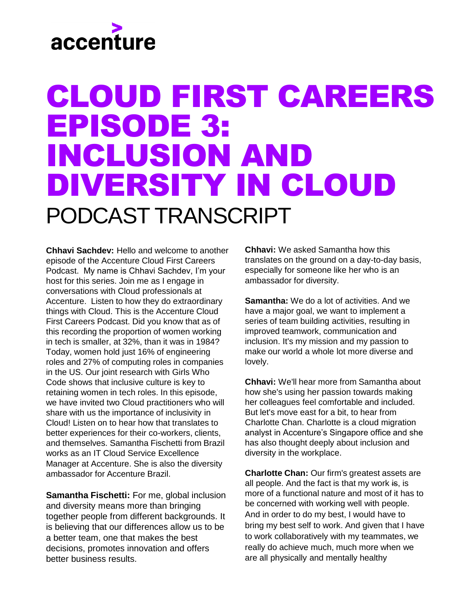#### CLOUD FIRST CAREERS EPISODE 3: INCLUSION AND DIVERSITY IN CLOUD PODCAST TRANSCRIPT

**Chhavi Sachdev:** Hello and welcome to another episode of the Accenture Cloud First Careers Podcast. My name is Chhavi Sachdev, I'm your host for this series. Join me as I engage in conversations with Cloud professionals at Accenture. Listen to how they do extraordinary things with Cloud. This is the Accenture Cloud First Careers Podcast. Did you know that as of this recording the proportion of women working in tech is smaller, at 32%, than it was in 1984? Today, women hold just 16% of engineering roles and 27% of computing roles in companies in the US. Our joint research with Girls Who Code shows that inclusive culture is key to retaining women in tech roles. In this episode, we have invited two Cloud practitioners who will share with us the importance of inclusivity in Cloud! Listen on to hear how that translates to better experiences for their co-workers, clients, and themselves. Samantha Fischetti from Brazil works as an IT Cloud Service Excellence Manager at Accenture. She is also the diversity ambassador for Accenture Brazil.

**Samantha Fischetti:** For me, global inclusion and diversity means more than bringing together people from different backgrounds. It is believing that our differences allow us to be a better team, one that makes the best decisions, promotes innovation and offers better business results.

**Chhavi:** We asked Samantha how this translates on the ground on a day-to-day basis, especially for someone like her who is an ambassador for diversity.

**Samantha:** We do a lot of activities. And we have a major goal, we want to implement a series of team building activities, resulting in improved teamwork, communication and inclusion. It's my mission and my passion to make our world a whole lot more diverse and lovely.

**Chhavi:** We'll hear more from Samantha about how she's using her passion towards making her colleagues feel comfortable and included. But let's move east for a bit, to hear from Charlotte Chan. Charlotte is a cloud migration analyst in Accenture's Singapore office and she has also thought deeply about inclusion and diversity in the workplace.

**Charlotte Chan:** Our firm's greatest assets are all people. And the fact is that my work is, is more of a functional nature and most of it has to be concerned with working well with people. And in order to do my best, I would have to bring my best self to work. And given that I have to work collaboratively with my teammates, we really do achieve much, much more when we are all physically and mentally healthy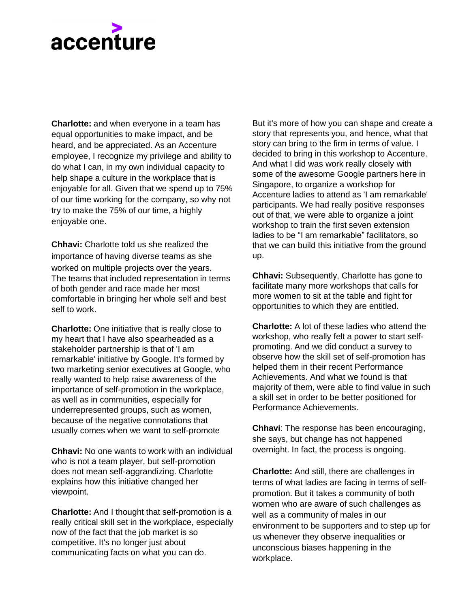**Charlotte:** and when everyone in a team has equal opportunities to make impact, and be heard, and be appreciated. As an Accenture employee, I recognize my privilege and ability to do what I can, in my own individual capacity to help shape a culture in the workplace that is enjoyable for all. Given that we spend up to 75% of our time working for the company, so why not try to make the 75% of our time, a highly enjoyable one.

**Chhavi:** Charlotte told us she realized the importance of having diverse teams as she worked on multiple projects over the years. The teams that included representation in terms of both gender and race made her most comfortable in bringing her whole self and best self to work.

**Charlotte:** One initiative that is really close to my heart that I have also spearheaded as a stakeholder partnership is that of 'I am remarkable' initiative by Google. It's formed by two marketing senior executives at Google, who really wanted to help raise awareness of the importance of self-promotion in the workplace, as well as in communities, especially for underrepresented groups, such as women, because of the negative connotations that usually comes when we want to self-promote

**Chhavi:** No one wants to work with an individual who is not a team player, but self-promotion does not mean self-aggrandizing. Charlotte explains how this initiative changed her viewpoint.

**Charlotte:** And I thought that self-promotion is a really critical skill set in the workplace, especially now of the fact that the job market is so competitive. It's no longer just about communicating facts on what you can do.

But it's more of how you can shape and create a story that represents you, and hence, what that story can bring to the firm in terms of value. I decided to bring in this workshop to Accenture. And what I did was work really closely with some of the awesome Google partners here in Singapore, to organize a workshop for Accenture ladies to attend as 'I am remarkable' participants. We had really positive responses out of that, we were able to organize a joint workshop to train the first seven extension ladies to be "I am remarkable" facilitators, so that we can build this initiative from the ground up.

**Chhavi:** Subsequently, Charlotte has gone to facilitate many more workshops that calls for more women to sit at the table and fight for opportunities to which they are entitled.

**Charlotte:** A lot of these ladies who attend the workshop, who really felt a power to start selfpromoting. And we did conduct a survey to observe how the skill set of self-promotion has helped them in their recent Performance Achievements. And what we found is that majority of them, were able to find value in such a skill set in order to be better positioned for Performance Achievements.

**Chhavi**: The response has been encouraging, she says, but change has not happened overnight. In fact, the process is ongoing.

**Charlotte:** And still, there are challenges in terms of what ladies are facing in terms of selfpromotion. But it takes a community of both women who are aware of such challenges as well as a community of males in our environment to be supporters and to step up for us whenever they observe inequalities or unconscious biases happening in the workplace.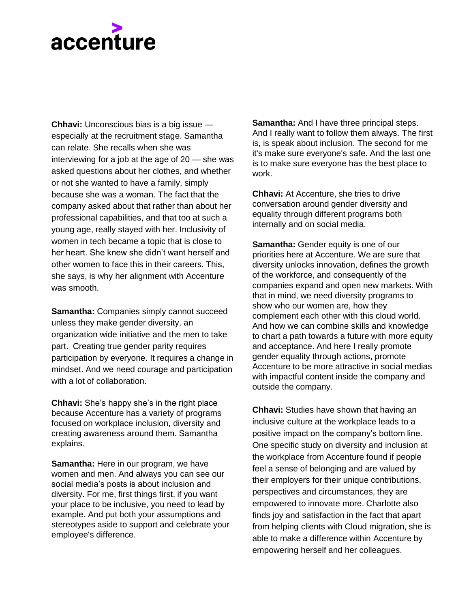**Chhavi:** Unconscious bias is a big issue especially at the recruitment stage. Samantha can relate. She recalls when she was interviewing for a job at the age of 20 — she was asked questions about her clothes, and whether or not she wanted to have a family, simply because she was a woman. The fact that the company asked about that rather than about her professional capabilities, and that too at such a young age, really stayed with her. Inclusivity of women in tech became a topic that is close to her heart. She knew she didn't want herself and other women to face this in their careers. This, she says, is why her alignment with Accenture was smooth.

**Samantha: Companies simply cannot succeed** unless they make gender diversity, an organization wide initiative and the men to take part. Creating true gender parity requires participation by everyone. It requires a change in mindset. And we need courage and participation with a lot of collaboration.

**Chhavi:** She's happy she's in the right place because Accenture has a variety of programs focused on workplace inclusion, diversity and creating awareness around them. Samantha explains.

**Samantha:** Here in our program, we have women and men. And always you can see our social media's posts is about inclusion and diversity. For me, first things first, if you want your place to be inclusive, you need to lead by example. And put both your assumptions and stereotypes aside to support and celebrate your employee's difference.

**Samantha:** And I have three principal steps. And I really want to follow them always. The first is, is speak about inclusion. The second for me it's make sure everyone's safe. And the last one is to make sure everyone has the best place to work.

**Chhavi:** At Accenture, she tries to drive conversation around gender diversity and equality through different programs both internally and on social media.

**Samantha:** Gender equity is one of our priorities here at Accenture. We are sure that diversity unlocks innovation, defines the growth of the workforce, and consequently of the companies expand and open new markets. With that in mind, we need diversity programs to show who our women are, how they complement each other with this cloud world. And how we can combine skills and knowledge to chart a path towards a future with more equity and acceptance. And here I really promote gender equality through actions, promote Accenture to be more attractive in social medias with impactful content inside the company and outside the company.

**Chhavi:** Studies have shown that having an inclusive culture at the workplace leads to a positive impact on the company's bottom line. One specific study on diversity and inclusion at the workplace from Accenture found if people feel a sense of belonging and are valued by their employers for their unique contributions, perspectives and circumstances, they are empowered to innovate more. Charlotte also finds joy and satisfaction in the fact that apart from helping clients with Cloud migration, she is able to make a difference within Accenture by empowering herself and her colleagues.